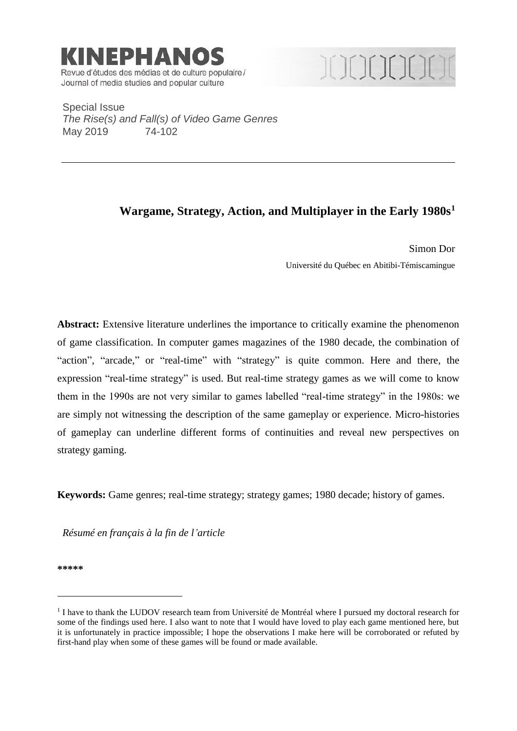

# ICICICICICI

Special Issue *The Rise(s) and Fall(s) of Video Game Genres* May 2019 74-102

## **Wargame, Strategy, Action, and Multiplayer in the Early 1980s<sup>1</sup>**

Simon Dor Université du Québec en Abitibi-Témiscamingue

Abstract: Extensive literature underlines the importance to critically examine the phenomenon of game classification. In computer games magazines of the 1980 decade, the combination of "action", "arcade," or "real-time" with "strategy" is quite common. Here and there, the expression "real-time strategy" is used. But real-time strategy games as we will come to know them in the 1990s are not very similar to games labelled "real-time strategy" in the 1980s: we are simply not witnessing the description of the same gameplay or experience. Micro-histories of gameplay can underline different forms of continuities and reveal new perspectives on strategy gaming.

**Keywords:** Game genres; real-time strategy; strategy games; 1980 decade; history of games.

*Résumé en français à la fin de l'article*

**\*\*\*\*\***

<u>.</u>

<sup>&</sup>lt;sup>1</sup> I have to thank the LUDOV research team from Université de Montréal where I pursued my doctoral research for some of the findings used here. I also want to note that I would have loved to play each game mentioned here, but it is unfortunately in practice impossible; I hope the observations I make here will be corroborated or refuted by first-hand play when some of these games will be found or made available.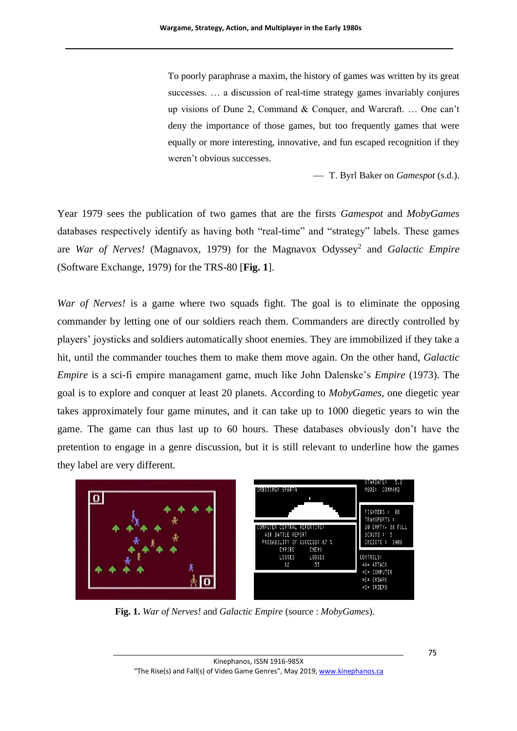To poorly paraphrase a maxim, the history of games was written by its great successes. … a discussion of real-time strategy games invariably conjures up visions of Dune 2, Command & Conquer, and Warcraft. … One can't deny the importance of those games, but too frequently games that were equally or more interesting, innovative, and fun escaped recognition if they weren't obvious successes.

⎯ T. Byrl Baker on *Gamespot* (s.d.).

Year 1979 sees the publication of two games that are the firsts *Gamespot* and *MobyGames* databases respectively identify as having both "real-time" and "strategy" labels. These games are *War of Nerves!* (Magnavox, 1979) for the Magnavox Odyssey<sup>2</sup> and *Galactic Empire* (Software Exchange, 1979) for the TRS-80 [**[Fig.](#page-1-0) 1**].

*War of Nerves!* is a game where two squads fight. The goal is to eliminate the opposing commander by letting one of our soldiers reach them. Commanders are directly controlled by players' joysticks and soldiers automatically shoot enemies. They are immobilized if they take a hit, until the commander touches them to make them move again. On the other hand, *Galactic Empire* is a sci-fi empire managament game, much like John Dalenske's *Empire* (1973). The goal is to explore and conquer at least 20 planets. According to *MobyGames*, one diegetic year takes approximately four game minutes, and it can take up to 1000 diegetic years to win the game. The game can thus last up to 60 hours. These databases obviously don't have the pretention to engage in a genre discussion, but it is still relevant to underline how the games they label are very different.



<span id="page-1-0"></span>**Fig. 1.** *War of Nerves!* and *Galactic Empire* (source : *MobyGames*).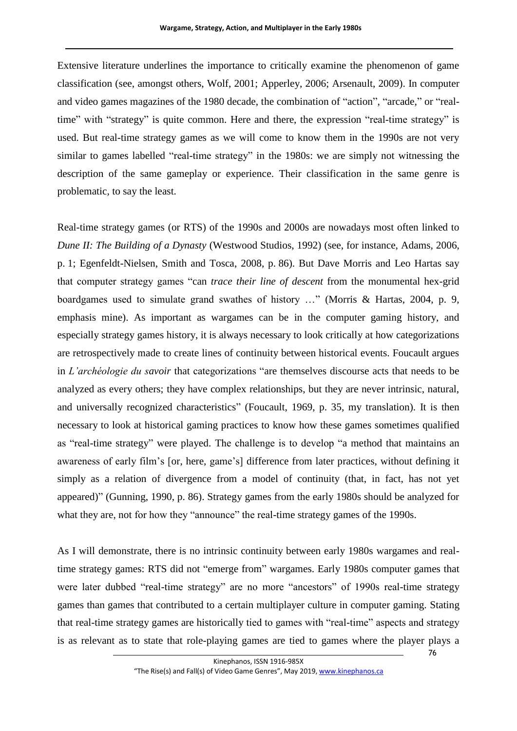Extensive literature underlines the importance to critically examine the phenomenon of game classification (see, amongst others, Wolf, 2001; Apperley, 2006; Arsenault, 2009). In computer and video games magazines of the 1980 decade, the combination of "action", "arcade," or "realtime" with "strategy" is quite common. Here and there, the expression "real-time strategy" is used. But real-time strategy games as we will come to know them in the 1990s are not very similar to games labelled "real-time strategy" in the 1980s: we are simply not witnessing the description of the same gameplay or experience. Their classification in the same genre is problematic, to say the least.

Real-time strategy games (or RTS) of the 1990s and 2000s are nowadays most often linked to *Dune II: The Building of a Dynasty* (Westwood Studios, 1992) (see, for instance, Adams, 2006, p. 1; Egenfeldt-Nielsen, Smith and Tosca, 2008, p. 86). But Dave Morris and Leo Hartas say that computer strategy games "can *trace their line of descent* from the monumental hex-grid boardgames used to simulate grand swathes of history …" (Morris & Hartas, 2004, p. 9, emphasis mine). As important as wargames can be in the computer gaming history, and especially strategy games history, it is always necessary to look critically at how categorizations are retrospectively made to create lines of continuity between historical events. Foucault argues in *L'archéologie du savoir* that categorizations "are themselves discourse acts that needs to be analyzed as every others; they have complex relationships, but they are never intrinsic, natural, and universally recognized characteristics" (Foucault, 1969, p. 35, my translation). It is then necessary to look at historical gaming practices to know how these games sometimes qualified as "real-time strategy" were played. The challenge is to develop "a method that maintains an awareness of early film's [or, here, game's] difference from later practices, without defining it simply as a relation of divergence from a model of continuity (that, in fact, has not yet appeared)" (Gunning, 1990, p. 86). Strategy games from the early 1980s should be analyzed for what they are, not for how they "announce" the real-time strategy games of the 1990s.

As I will demonstrate, there is no intrinsic continuity between early 1980s wargames and realtime strategy games: RTS did not "emerge from" wargames. Early 1980s computer games that were later dubbed "real-time strategy" are no more "ancestors" of 1990s real-time strategy games than games that contributed to a certain multiplayer culture in computer gaming. Stating that real-time strategy games are historically tied to games with "real-time" aspects and strategy is as relevant as to state that role-playing games are tied to games where the player plays a

76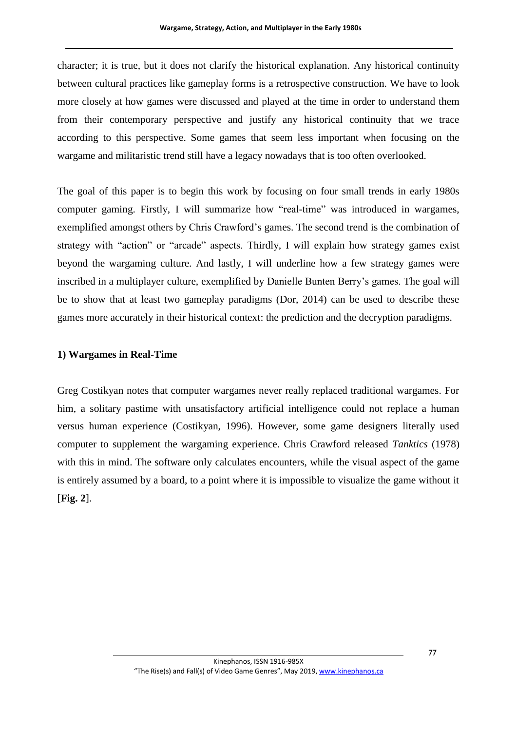character; it is true, but it does not clarify the historical explanation. Any historical continuity between cultural practices like gameplay forms is a retrospective construction. We have to look more closely at how games were discussed and played at the time in order to understand them from their contemporary perspective and justify any historical continuity that we trace according to this perspective. Some games that seem less important when focusing on the wargame and militaristic trend still have a legacy nowadays that is too often overlooked.

The goal of this paper is to begin this work by focusing on four small trends in early 1980s computer gaming. Firstly, I will summarize how "real-time" was introduced in wargames, exemplified amongst others by Chris Crawford's games. The second trend is the combination of strategy with "action" or "arcade" aspects. Thirdly, I will explain how strategy games exist beyond the wargaming culture. And lastly, I will underline how a few strategy games were inscribed in a multiplayer culture, exemplified by Danielle Bunten Berry's games. The goal will be to show that at least two gameplay paradigms (Dor, 2014) can be used to describe these games more accurately in their historical context: the prediction and the decryption paradigms.

#### **1) Wargames in Real-Time**

Greg Costikyan notes that computer wargames never really replaced traditional wargames. For him, a solitary pastime with unsatisfactory artificial intelligence could not replace a human versus human experience (Costikyan, 1996). However, some game designers literally used computer to supplement the wargaming experience. Chris Crawford released *Tanktics* (1978) with this in mind. The software only calculates encounters, while the visual aspect of the game is entirely assumed by a board, to a point where it is impossible to visualize the game without it [**[Fig. 2](#page-4-0)**].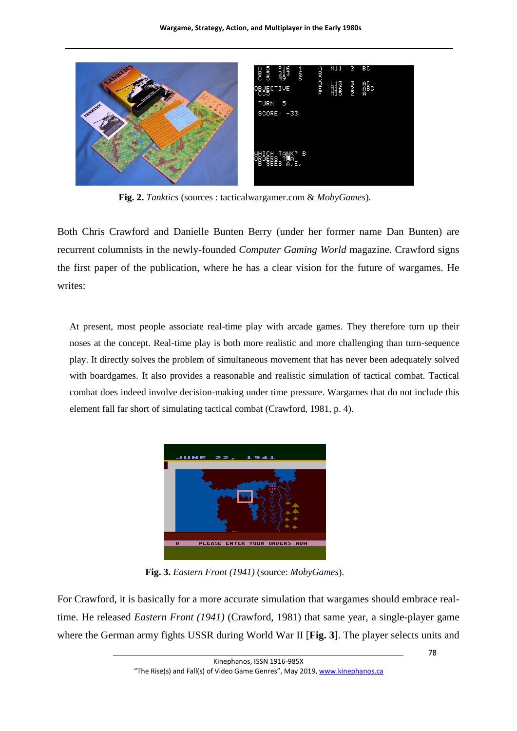

**Fig. 2.** *Tanktics* (sources : tacticalwargamer.com & *MobyGames*).

<span id="page-4-0"></span>Both Chris Crawford and Danielle Bunten Berry (under her former name Dan Bunten) are recurrent columnists in the newly-founded *Computer Gaming World* magazine. Crawford signs the first paper of the publication, where he has a clear vision for the future of wargames. He writes:

At present, most people associate real-time play with arcade games. They therefore turn up their noses at the concept. Real-time play is both more realistic and more challenging than turn-sequence play. It directly solves the problem of simultaneous movement that has never been adequately solved with boardgames. It also provides a reasonable and realistic simulation of tactical combat. Tactical combat does indeed involve decision-making under time pressure. Wargames that do not include this element fall far short of simulating tactical combat (Crawford, 1981, p. 4).



**Fig. 3.** *Eastern Front (1941)* (source: *MobyGames*).

<span id="page-4-1"></span>For Crawford, it is basically for a more accurate simulation that wargames should embrace realtime. He released *Eastern Front (1941)* (Crawford, 1981) that same year, a single-player game where the German army fights USSR during World War II [**[Fig.](#page-4-1) 3**]. The player selects units and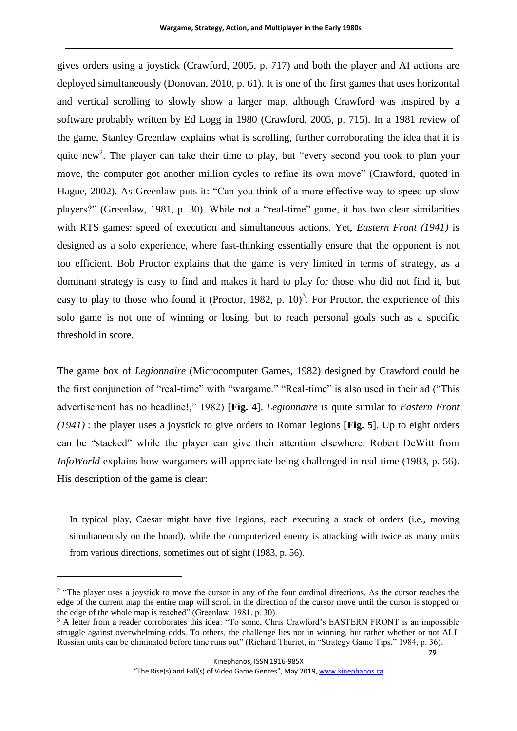gives orders using a joystick (Crawford, 2005, p. 717) and both the player and AI actions are deployed simultaneously (Donovan, 2010, p. 61). It is one of the first games that uses horizontal and vertical scrolling to slowly show a larger map, although Crawford was inspired by a software probably written by Ed Logg in 1980 (Crawford, 2005, p. 715). In a 1981 review of the game, Stanley Greenlaw explains what is scrolling, further corroborating the idea that it is quite new<sup>2</sup>. The player can take their time to play, but "every second you took to plan your move, the computer got another million cycles to refine its own move" (Crawford, quoted in Hague, 2002). As Greenlaw puts it: "Can you think of a more effective way to speed up slow players?" (Greenlaw, 1981, p. 30). While not a "real-time" game, it has two clear similarities with RTS games: speed of execution and simultaneous actions. Yet, *Eastern Front (1941)* is designed as a solo experience, where fast-thinking essentially ensure that the opponent is not too efficient. Bob Proctor explains that the game is very limited in terms of strategy, as a dominant strategy is easy to find and makes it hard to play for those who did not find it, but easy to play to those who found it (Proctor, 1982, p.  $10)^3$ . For Proctor, the experience of this solo game is not one of winning or losing, but to reach personal goals such as a specific threshold in score.

The game box of *Legionnaire* (Microcomputer Games, 1982) designed by Crawford could be the first conjunction of "real-time" with "wargame." "Real-time" is also used in their ad ("This advertisement has no headline!," 1982) [**[Fig. 4](#page-6-0)**]. *Legionnaire* is quite similar to *Eastern Front (1941)* : the player uses a joystick to give orders to Roman legions [**[Fig. 5](#page-7-0)**]. Up to eight orders can be "stacked" while the player can give their attention elsewhere. Robert DeWitt from *InfoWorld* explains how wargamers will appreciate being challenged in real-time (1983, p. 56). His description of the game is clear:

In typical play, Caesar might have five legions, each executing a stack of orders (i.e., moving simultaneously on the board), while the computerized enemy is attacking with twice as many units from various directions, sometimes out of sight (1983, p. 56).

<u>.</u>

<sup>&</sup>lt;sup>2</sup> "The player uses a joystick to move the cursor in any of the four cardinal directions. As the cursor reaches the edge of the current map the entire map will scroll in the direction of the cursor move until the cursor is stopped or the edge of the whole map is reached" (Greenlaw, 1981, p. 30).

<sup>&</sup>lt;sup>3</sup> A letter from a reader corroborates this idea: "To some, Chris Crawford's EASTERN FRONT is an impossible struggle against overwhelming odds. To others, the challenge lies not in winning, but rather whether or not ALL Russian units can be eliminated before time runs out" (Richard Thuriot, in "Strategy Game Tips," 1984, p. 36).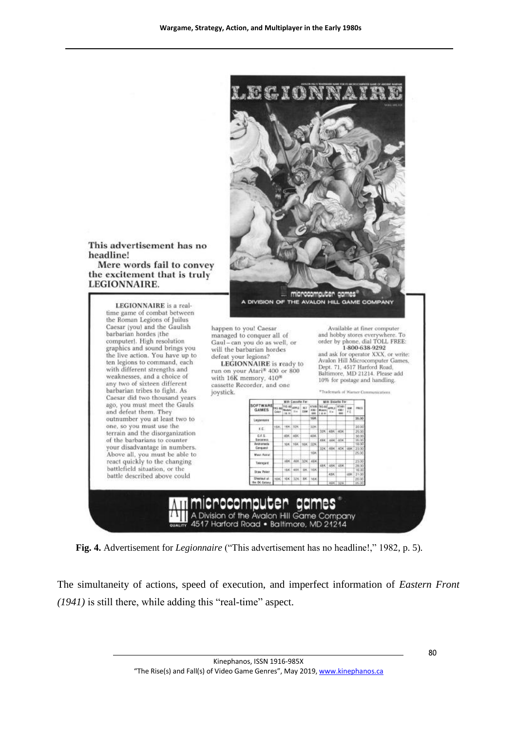

<span id="page-6-0"></span>**Fig. 4.** Advertisement for *Legionnaire* ("This advertisement has no headline!," 1982, p. 5).

The simultaneity of actions, speed of execution, and imperfect information of *Eastern Front (1941)* is still there, while adding this "real-time" aspect.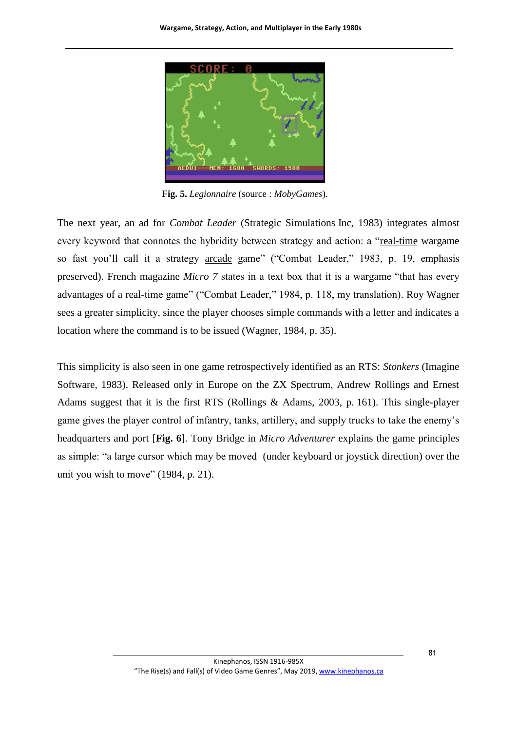

**Fig. 5.** *Legionnaire* (source : *MobyGames*).

<span id="page-7-0"></span>The next year, an ad for *Combat Leader* (Strategic Simulations Inc, 1983) integrates almost every keyword that connotes the hybridity between strategy and action: a "real-time wargame so fast you'll call it a strategy arcade game" ("Combat Leader," 1983, p. 19, emphasis preserved). French magazine *Micro 7* states in a text box that it is a wargame "that has every advantages of a real-time game" ("Combat Leader," 1984, p. 118, my translation). Roy Wagner sees a greater simplicity, since the player chooses simple commands with a letter and indicates a location where the command is to be issued (Wagner, 1984, p. 35).

This simplicity is also seen in one game retrospectively identified as an RTS: *Stonkers* (Imagine Software, 1983). Released only in Europe on the ZX Spectrum, Andrew Rollings and Ernest Adams suggest that it is the first RTS (Rollings & Adams, 2003, p. 161). This single-player game gives the player control of infantry, tanks, artillery, and supply trucks to take the enemy's headquarters and port [**[Fig.](#page-8-0) 6**]. Tony Bridge in *Micro Adventurer* explains the game principles as simple: "a large cursor which may be moved (under keyboard or joystick direction) over the unit you wish to move" (1984, p. 21).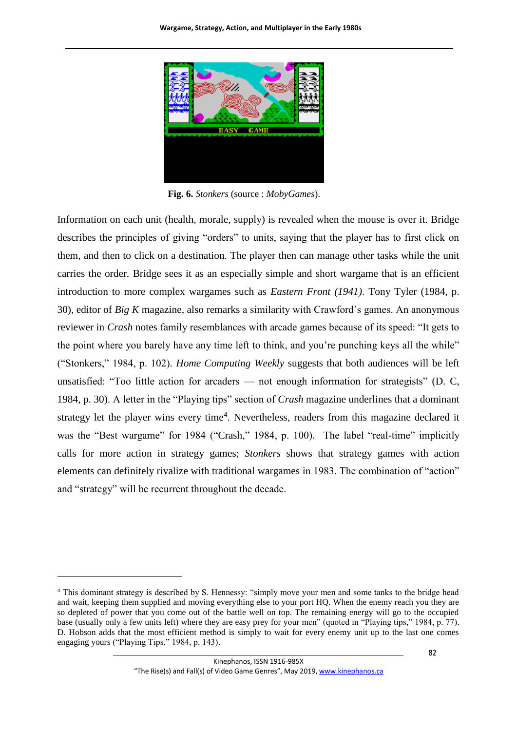

**Fig. 6.** *Stonkers* (source : *MobyGames*).

<span id="page-8-0"></span>Information on each unit (health, morale, supply) is revealed when the mouse is over it. Bridge describes the principles of giving "orders" to units, saying that the player has to first click on them, and then to click on a destination. The player then can manage other tasks while the unit carries the order. Bridge sees it as an especially simple and short wargame that is an efficient introduction to more complex wargames such as *Eastern Front (1941)*. Tony Tyler (1984, p. 30), editor of *Big K* magazine, also remarks a similarity with Crawford's games. An anonymous reviewer in *Crash* notes family resemblances with arcade games because of its speed: "It gets to the point where you barely have any time left to think, and you're punching keys all the while" ("Stonkers," 1984, p. 102). *Home Computing Weekly* suggests that both audiences will be left unsatisfied: "Too little action for arcaders — not enough information for strategists" (D. C, 1984, p. 30). A letter in the "Playing tips" section of *Crash* magazine underlines that a dominant strategy let the player wins every time<sup>4</sup>. Nevertheless, readers from this magazine declared it was the "Best wargame" for 1984 ("Crash," 1984, p. 100). The label "real-time" implicitly calls for more action in strategy games; *Stonkers* shows that strategy games with action elements can definitely rivalize with traditional wargames in 1983. The combination of "action" and "strategy" will be recurrent throughout the decade.

<u>.</u>

<sup>4</sup> This dominant strategy is described by S. Hennessy: "simply move your men and some tanks to the bridge head and wait, keeping them supplied and moving everything else to your port HQ. When the enemy reach you they are so depleted of power that you come out of the battle well on top. The remaining energy will go to the occupied base (usually only a few units left) where they are easy prey for your men" (quoted in "Playing tips," 1984, p. 77). D. Hobson adds that the most efficient method is simply to wait for every enemy unit up to the last one comes engaging yours ("Playing Tips," 1984, p. 143).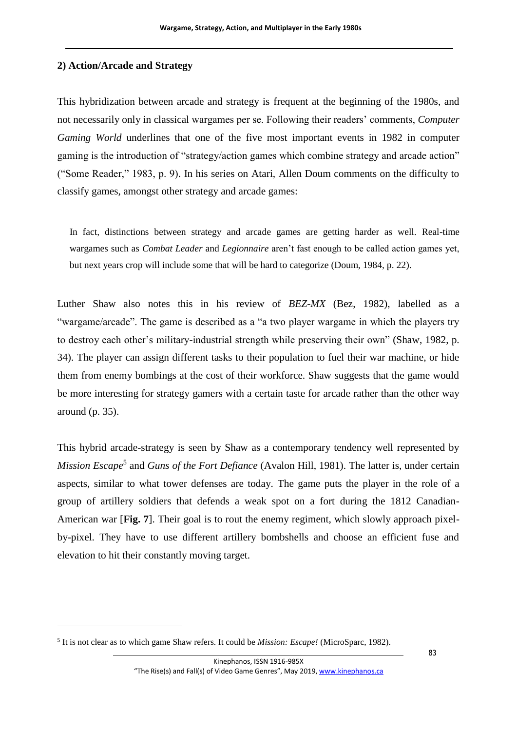## **2) Action/Arcade and Strategy**

This hybridization between arcade and strategy is frequent at the beginning of the 1980s, and not necessarily only in classical wargames per se. Following their readers' comments, *Computer Gaming World* underlines that one of the five most important events in 1982 in computer gaming is the introduction of "strategy/action games which combine strategy and arcade action" ("Some Reader," 1983, p. 9). In his series on Atari, Allen Doum comments on the difficulty to classify games, amongst other strategy and arcade games:

In fact, distinctions between strategy and arcade games are getting harder as well. Real-time wargames such as *Combat Leader* and *Legionnaire* aren't fast enough to be called action games yet, but next years crop will include some that will be hard to categorize (Doum, 1984, p. 22).

Luther Shaw also notes this in his review of *BEZ-MX* (Bez, 1982), labelled as a "wargame/arcade". The game is described as a "a two player wargame in which the players try to destroy each other's military-industrial strength while preserving their own" (Shaw, 1982, p. 34). The player can assign different tasks to their population to fuel their war machine, or hide them from enemy bombings at the cost of their workforce. Shaw suggests that the game would be more interesting for strategy gamers with a certain taste for arcade rather than the other way around (p. 35).

This hybrid arcade-strategy is seen by Shaw as a contemporary tendency well represented by *Mission Escape*<sup>5</sup> and *Guns of the Fort Defiance* (Avalon Hill, 1981). The latter is, under certain aspects, similar to what tower defenses are today. The game puts the player in the role of a group of artillery soldiers that defends a weak spot on a fort during the 1812 Canadian-American war [**[Fig. 7](#page-10-0)**]. Their goal is to rout the enemy regiment, which slowly approach pixelby-pixel. They have to use different artillery bombshells and choose an efficient fuse and elevation to hit their constantly moving target.

1

<sup>5</sup> It is not clear as to which game Shaw refers. It could be *Mission: Escape!* (MicroSparc, 1982).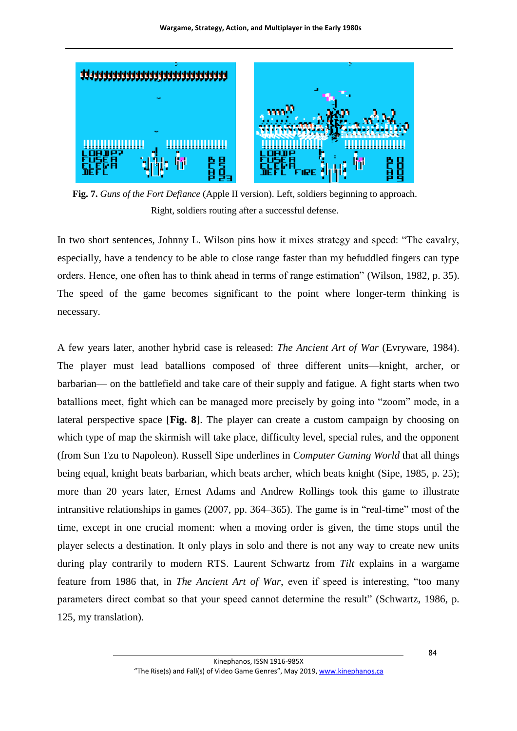

**Fig. 7.** *Guns of the Fort Defiance* (Apple II version). Left, soldiers beginning to approach. Right, soldiers routing after a successful defense.

<span id="page-10-0"></span>In two short sentences, Johnny L. Wilson pins how it mixes strategy and speed: "The cavalry, especially, have a tendency to be able to close range faster than my befuddled fingers can type orders. Hence, one often has to think ahead in terms of range estimation" (Wilson, 1982, p. 35). The speed of the game becomes significant to the point where longer-term thinking is necessary.

A few years later, another hybrid case is released: *The Ancient Art of War* (Evryware, 1984). The player must lead batallions composed of three different units—knight, archer, or barbarian— on the battlefield and take care of their supply and fatigue. A fight starts when two batallions meet, fight which can be managed more precisely by going into "zoom" mode, in a lateral perspective space [**[Fig. 8](#page-11-0)**]. The player can create a custom campaign by choosing on which type of map the skirmish will take place, difficulty level, special rules, and the opponent (from Sun Tzu to Napoleon). Russell Sipe underlines in *Computer Gaming World* that all things being equal, knight beats barbarian, which beats archer, which beats knight (Sipe, 1985, p. 25); more than 20 years later, Ernest Adams and Andrew Rollings took this game to illustrate intransitive relationships in games (2007, pp. 364–365). The game is in "real-time" most of the time, except in one crucial moment: when a moving order is given, the time stops until the player selects a destination. It only plays in solo and there is not any way to create new units during play contrarily to modern RTS. Laurent Schwartz from *Tilt* explains in a wargame feature from 1986 that, in *The Ancient Art of War*, even if speed is interesting, "too many parameters direct combat so that your speed cannot determine the result" (Schwartz, 1986, p. 125, my translation).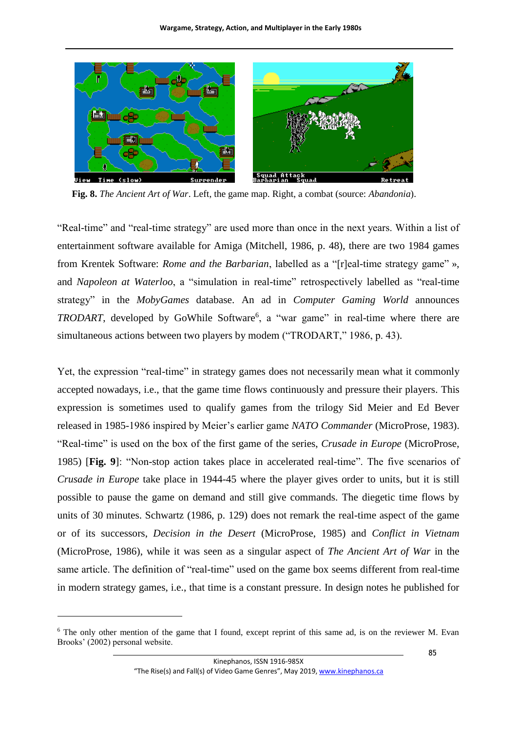

<span id="page-11-0"></span>**Fig. 8.** *The Ancient Art of War*. Left, the game map. Right, a combat (source: *Abandonia*).

"Real-time" and "real-time strategy" are used more than once in the next years. Within a list of entertainment software available for Amiga (Mitchell, 1986, p. 48), there are two 1984 games from Krentek Software: *Rome and the Barbarian*, labelled as a "[r]eal-time strategy game" », and *Napoleon at Waterloo*, a "simulation in real-time" retrospectively labelled as "real-time strategy" in the *MobyGames* database. An ad in *Computer Gaming World* announces *TRODART*, developed by GoWhile Software<sup>6</sup>, a "war game" in real-time where there are simultaneous actions between two players by modem ("TRODART," 1986, p. 43).

Yet, the expression "real-time" in strategy games does not necessarily mean what it commonly accepted nowadays, i.e., that the game time flows continuously and pressure their players. This expression is sometimes used to qualify games from the trilogy Sid Meier and Ed Bever released in 1985-1986 inspired by Meier's earlier game *NATO Commander* (MicroProse, 1983). "Real-time" is used on the box of the first game of the series, *Crusade in Europe* (MicroProse, 1985) [**[Fig. 9](#page-12-0)**]: "Non-stop action takes place in accelerated real-time". The five scenarios of *Crusade in Europe* take place in 1944-45 where the player gives order to units, but it is still possible to pause the game on demand and still give commands. The diegetic time flows by units of 30 minutes. Schwartz (1986, p. 129) does not remark the real-time aspect of the game or of its successors, *Decision in the Desert* (MicroProse, 1985) and *Conflict in Vietnam* (MicroProse, 1986), while it was seen as a singular aspect of *The Ancient Art of War* in the same article. The definition of "real-time" used on the game box seems different from real-time in modern strategy games, i.e., that time is a constant pressure. In design notes he published for

<u>.</u>

<sup>&</sup>lt;sup>6</sup> The only other mention of the game that I found, except reprint of this same ad, is on the reviewer M. Evan Brooks' (2002) personal website.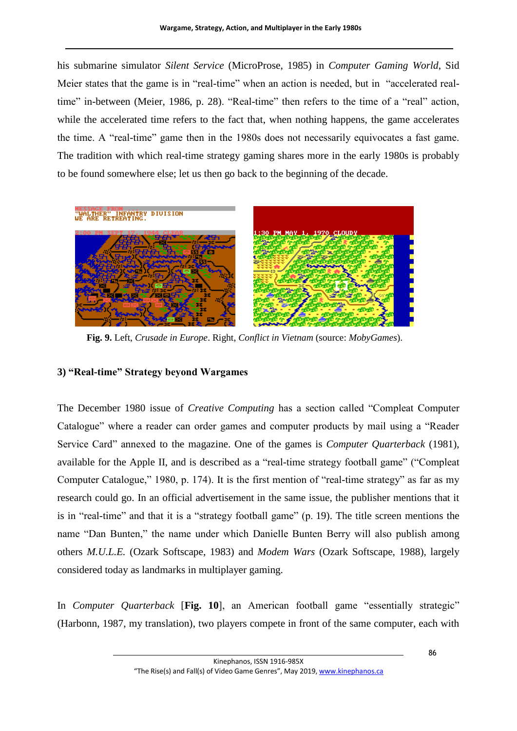his submarine simulator *Silent Service* (MicroProse, 1985) in *Computer Gaming World*, Sid Meier states that the game is in "real-time" when an action is needed, but in "accelerated realtime" in-between (Meier, 1986, p. 28). "Real-time" then refers to the time of a "real" action, while the accelerated time refers to the fact that, when nothing happens, the game accelerates the time. A "real-time" game then in the 1980s does not necessarily equivocates a fast game. The tradition with which real-time strategy gaming shares more in the early 1980s is probably to be found somewhere else; let us then go back to the beginning of the decade.



**Fig. 9.** Left, *Crusade in Europe*. Right, *Conflict in Vietnam* (source: *MobyGames*).

## <span id="page-12-0"></span>**3) "Real-time" Strategy beyond Wargames**

The December 1980 issue of *Creative Computing* has a section called "Compleat Computer Catalogue" where a reader can order games and computer products by mail using a "Reader Service Card" annexed to the magazine. One of the games is *Computer Quarterback* (1981), available for the Apple II, and is described as a "real-time strategy football game" ("Compleat Computer Catalogue," 1980, p. 174). It is the first mention of "real-time strategy" as far as my research could go. In an official advertisement in the same issue, the publisher mentions that it is in "real-time" and that it is a "strategy football game" (p. 19). The title screen mentions the name "Dan Bunten," the name under which Danielle Bunten Berry will also publish among others *M.U.L.E.* (Ozark Softscape, 1983) and *Modem Wars* (Ozark Softscape, 1988), largely considered today as landmarks in multiplayer gaming.

In *Computer Quarterback* [**[Fig. 10](#page-13-0)**], an American football game "essentially strategic" (Harbonn, 1987, my translation), two players compete in front of the same computer, each with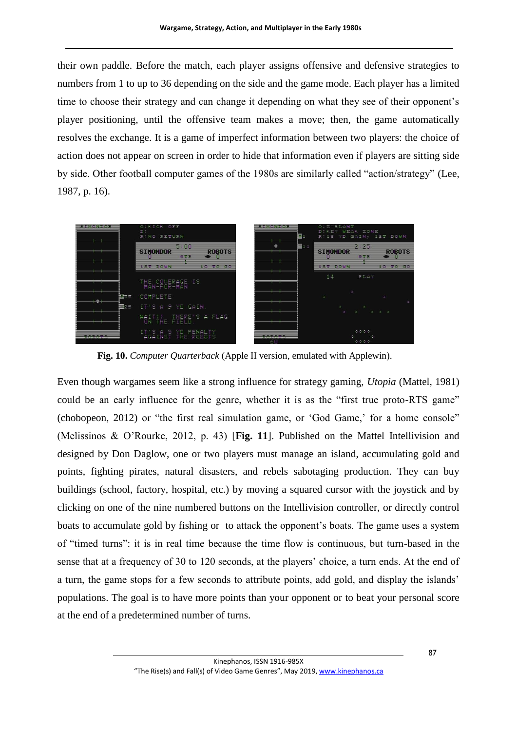their own paddle. Before the match, each player assigns offensive and defensive strategies to numbers from 1 to up to 36 depending on the side and the game mode. Each player has a limited time to choose their strategy and can change it depending on what they see of their opponent's player positioning, until the offensive team makes a move; then, the game automatically resolves the exchange. It is a game of imperfect information between two players: the choice of action does not appear on screen in order to hide that information even if players are sitting side by side. Other football computer games of the 1980s are similarly called "action/strategy" (Lee, 1987, p. 16).



**Fig. 10.** *Computer Quarterback* (Apple II version, emulated with Applewin).

<span id="page-13-0"></span>Even though wargames seem like a strong influence for strategy gaming, *Utopia* (Mattel, 1981) could be an early influence for the genre, whether it is as the "first true proto-RTS game" (chobopeon, 2012) or "the first real simulation game, or 'God Game,' for a home console" (Melissinos & O'Rourke, 2012, p. 43) [**[Fig.](#page-14-0) 11**]. Published on the Mattel Intellivision and designed by Don Daglow, one or two players must manage an island, accumulating gold and points, fighting pirates, natural disasters, and rebels sabotaging production. They can buy buildings (school, factory, hospital, etc.) by moving a squared cursor with the joystick and by clicking on one of the nine numbered buttons on the Intellivision controller, or directly control boats to accumulate gold by fishing or to attack the opponent's boats. The game uses a system of "timed turns": it is in real time because the time flow is continuous, but turn-based in the sense that at a frequency of 30 to 120 seconds, at the players' choice, a turn ends. At the end of a turn, the game stops for a few seconds to attribute points, add gold, and display the islands' populations. The goal is to have more points than your opponent or to beat your personal score at the end of a predetermined number of turns.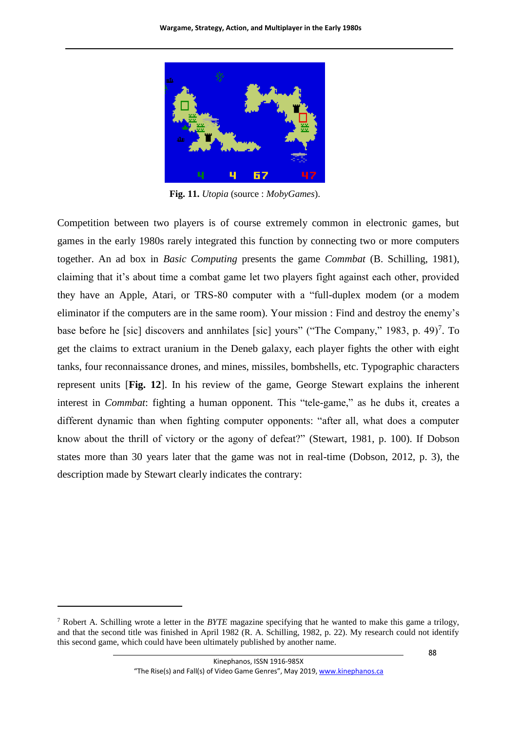

**Fig. 11.** *Utopia* (source : *MobyGames*).

<span id="page-14-0"></span>Competition between two players is of course extremely common in electronic games, but games in the early 1980s rarely integrated this function by connecting two or more computers together. An ad box in *Basic Computing* presents the game *Commbat* (B. Schilling, 1981), claiming that it's about time a combat game let two players fight against each other, provided they have an Apple, Atari, or TRS-80 computer with a "full-duplex modem (or a modem eliminator if the computers are in the same room). Your mission : Find and destroy the enemy's base before he [sic] discovers and annhilates [sic] yours" ("The Company," 1983, p. 49)<sup>7</sup>. To get the claims to extract uranium in the Deneb galaxy, each player fights the other with eight tanks, four reconnaissance drones, and mines, missiles, bombshells, etc. Typographic characters represent units [**[Fig. 12](#page-15-0)**]. In his review of the game, George Stewart explains the inherent interest in *Commbat*: fighting a human opponent. This "tele-game," as he dubs it, creates a different dynamic than when fighting computer opponents: "after all, what does a computer know about the thrill of victory or the agony of defeat?" (Stewart, 1981, p. 100). If Dobson states more than 30 years later that the game was not in real-time (Dobson, 2012, p. 3), the description made by Stewart clearly indicates the contrary:

1

<sup>7</sup> Robert A. Schilling wrote a letter in the *BYTE* magazine specifying that he wanted to make this game a trilogy, and that the second title was finished in April 1982 (R. A. Schilling, 1982, p. 22). My research could not identify this second game, which could have been ultimately published by another name.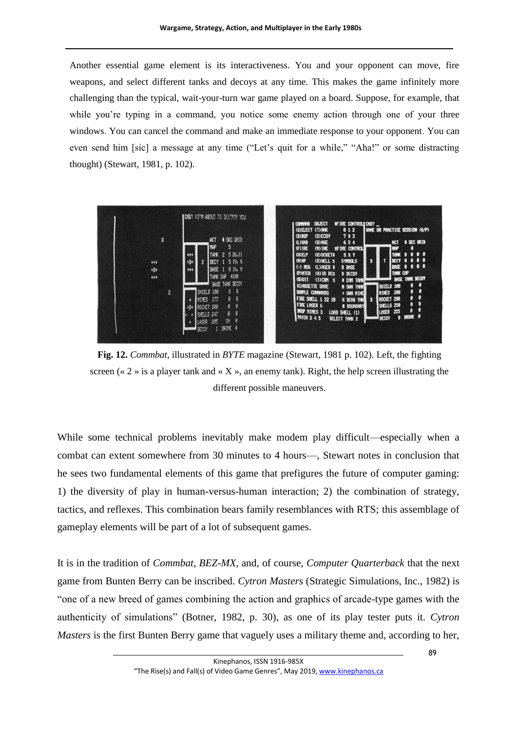Another essential game element is its interactiveness. You and your opponent can move, fire weapons, and select different tanks and decoys at any time. This makes the game infinitely more challenging than the typical, wait-your-turn war game played on a board. Suppose, for example, that while you're typing in a command, you notice some enemy action through one of your three windows. You can cancel the command and make an immediate response to your opponent. You can even send him [sic] a message at any time ("Let's quit for a while," "Aha!" or some distracting thought) (Stewart, 1981, p. 102).



<span id="page-15-0"></span>**Fig. 12.** *Commbat*, illustrated in *BYTE* magazine (Stewart, 1981 p. 102). Left, the fighting screen ( $\ll 2$  » is a player tank and  $\ll X$  », an enemy tank). Right, the help screen illustrating the different possible maneuvers.

While some technical problems inevitably make modem play difficult—especially when a combat can extent somewhere from 30 minutes to 4 hours—, Stewart notes in conclusion that he sees two fundamental elements of this game that prefigures the future of computer gaming: 1) the diversity of play in human-versus-human interaction; 2) the combination of strategy, tactics, and reflexes. This combination bears family resemblances with RTS; this assemblage of gameplay elements will be part of a lot of subsequent games.

It is in the tradition of *Commbat*, *BEZ-MX*, and, of course, *Computer Quarterback* that the next game from Bunten Berry can be inscribed. *Cytron Masters* (Strategic Simulations, Inc., 1982) is "one of a new breed of games combining the action and graphics of arcade-type games with the authenticity of simulations" (Botner, 1982, p. 30), as one of its play tester puts it. *Cytron Masters* is the first Bunten Berry game that vaguely uses a military theme and, according to her,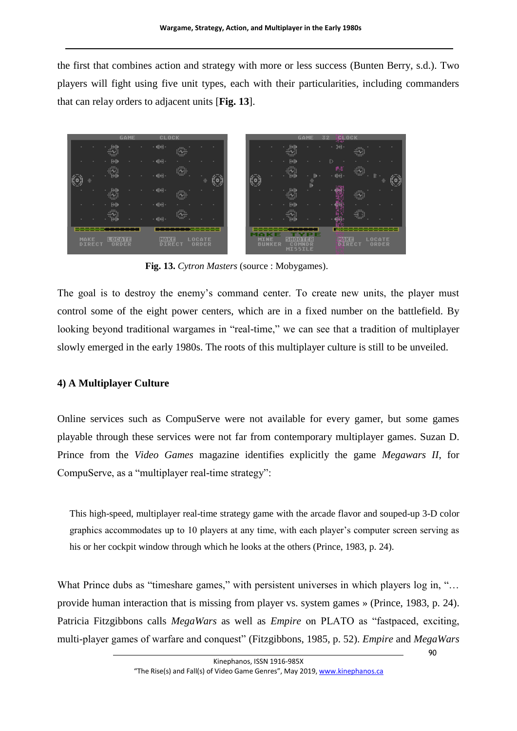the first that combines action and strategy with more or less success (Bunten Berry, s.d.). Two players will fight using five unit types, each with their particularities, including commanders that can relay orders to adjacent units [**[Fig.](#page-16-0) 13**].



**Fig. 13.** *Cytron Masters* (source : Mobygames).

<span id="page-16-0"></span>The goal is to destroy the enemy's command center. To create new units, the player must control some of the eight power centers, which are in a fixed number on the battlefield. By looking beyond traditional wargames in "real-time," we can see that a tradition of multiplayer slowly emerged in the early 1980s. The roots of this multiplayer culture is still to be unveiled.

## **4) A Multiplayer Culture**

Online services such as CompuServe were not available for every gamer, but some games playable through these services were not far from contemporary multiplayer games. Suzan D. Prince from the *Video Games* magazine identifies explicitly the game *Megawars II*, for CompuServe, as a "multiplayer real-time strategy":

This high-speed, multiplayer real-time strategy game with the arcade flavor and souped-up 3-D color graphics accommodates up to 10 players at any time, with each player's computer screen serving as his or her cockpit window through which he looks at the others (Prince, 1983, p. 24).

What Prince dubs as "timeshare games," with persistent universes in which players log in, "... provide human interaction that is missing from player vs. system games » (Prince, 1983, p. 24). Patricia Fitzgibbons calls *MegaWars* as well as *Empire* on PLATO as "fastpaced, exciting, multi-player games of warfare and conquest" (Fitzgibbons, 1985, p. 52). *Empire* and *MegaWars*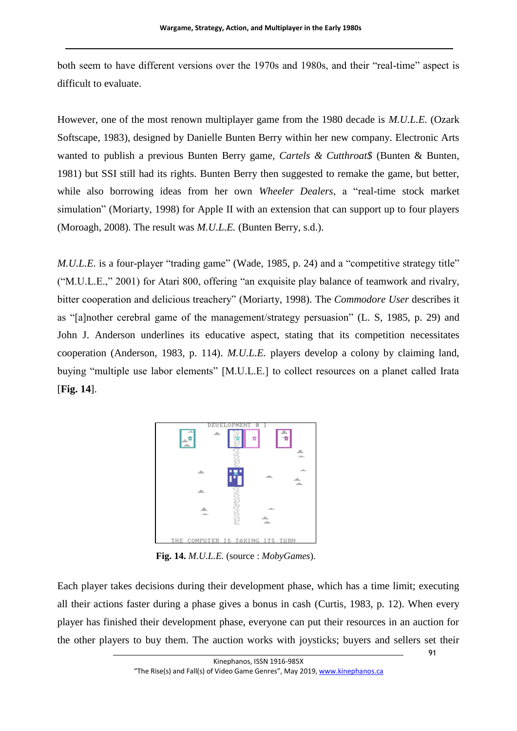both seem to have different versions over the 1970s and 1980s, and their "real-time" aspect is difficult to evaluate.

However, one of the most renown multiplayer game from the 1980 decade is *M.U.L.E.* (Ozark Softscape, 1983), designed by Danielle Bunten Berry within her new company. Electronic Arts wanted to publish a previous Bunten Berry game, *Cartels & Cutthroat\$* (Bunten & Bunten, 1981) but SSI still had its rights. Bunten Berry then suggested to remake the game, but better, while also borrowing ideas from her own *Wheeler Dealers*, a "real-time stock market simulation" (Moriarty, 1998) for Apple II with an extension that can support up to four players (Moroagh, 2008). The result was *M.U.L.E.* (Bunten Berry, s.d.).

*M.U.L.E.* is a four-player "trading game" (Wade, 1985, p. 24) and a "competitive strategy title" ("M.U.L.E.," 2001) for Atari 800, offering "an exquisite play balance of teamwork and rivalry, bitter cooperation and delicious treachery" (Moriarty, 1998). The *Commodore User* describes it as "[a]nother cerebral game of the management/strategy persuasion" (L. S, 1985, p. 29) and John J. Anderson underlines its educative aspect, stating that its competition necessitates cooperation (Anderson, 1983, p. 114). *M.U.L.E.* players develop a colony by claiming land, buying "multiple use labor elements" [M.U.L.E.] to collect resources on a planet called Irata [**[Fig.](#page-17-0) 14**].



**Fig. 14.** *M.U.L.E.* (source : *MobyGames*).

<span id="page-17-0"></span>Each player takes decisions during their development phase, which has a time limit; executing all their actions faster during a phase gives a bonus in cash (Curtis, 1983, p. 12). When every player has finished their development phase, everyone can put their resources in an auction for the other players to buy them. The auction works with joysticks; buyers and sellers set their

91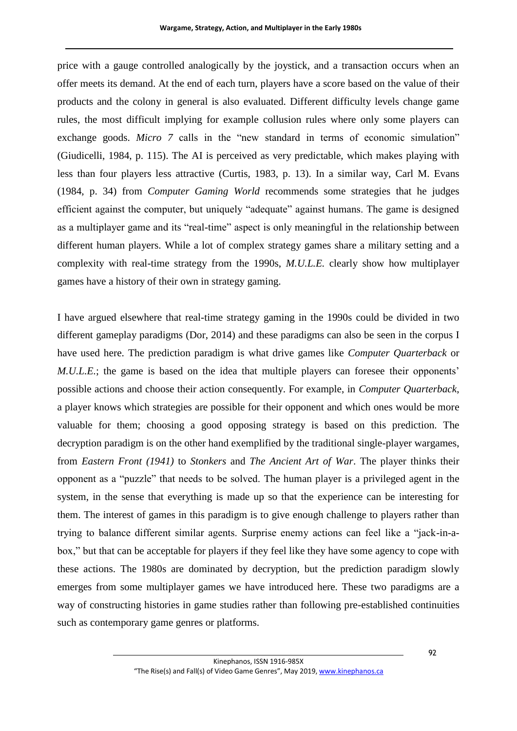price with a gauge controlled analogically by the joystick, and a transaction occurs when an offer meets its demand. At the end of each turn, players have a score based on the value of their products and the colony in general is also evaluated. Different difficulty levels change game rules, the most difficult implying for example collusion rules where only some players can exchange goods. *Micro* 7 calls in the "new standard in terms of economic simulation" (Giudicelli, 1984, p. 115). The AI is perceived as very predictable, which makes playing with less than four players less attractive (Curtis, 1983, p. 13). In a similar way, Carl M. Evans (1984, p. 34) from *Computer Gaming World* recommends some strategies that he judges efficient against the computer, but uniquely "adequate" against humans. The game is designed as a multiplayer game and its "real-time" aspect is only meaningful in the relationship between different human players. While a lot of complex strategy games share a military setting and a complexity with real-time strategy from the 1990s, *M.U.L.E.* clearly show how multiplayer games have a history of their own in strategy gaming.

I have argued elsewhere that real-time strategy gaming in the 1990s could be divided in two different gameplay paradigms (Dor, 2014) and these paradigms can also be seen in the corpus I have used here. The prediction paradigm is what drive games like *Computer Quarterback* or *M.U.L.E.*; the game is based on the idea that multiple players can foresee their opponents' possible actions and choose their action consequently. For example, in *Computer Quarterback*, a player knows which strategies are possible for their opponent and which ones would be more valuable for them; choosing a good opposing strategy is based on this prediction. The decryption paradigm is on the other hand exemplified by the traditional single-player wargames, from *Eastern Front (1941)* to *Stonkers* and *The Ancient Art of War*. The player thinks their opponent as a "puzzle" that needs to be solved. The human player is a privileged agent in the system, in the sense that everything is made up so that the experience can be interesting for them. The interest of games in this paradigm is to give enough challenge to players rather than trying to balance different similar agents. Surprise enemy actions can feel like a "jack-in-abox," but that can be acceptable for players if they feel like they have some agency to cope with these actions. The 1980s are dominated by decryption, but the prediction paradigm slowly emerges from some multiplayer games we have introduced here. These two paradigms are a way of constructing histories in game studies rather than following pre-established continuities such as contemporary game genres or platforms.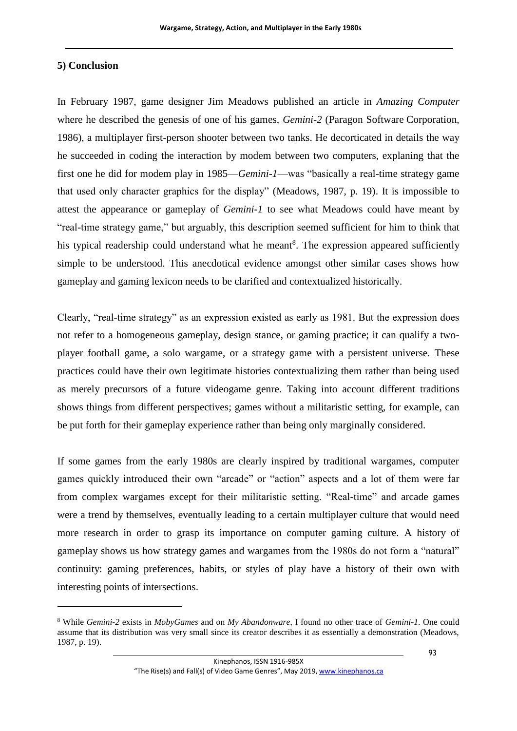## **5) Conclusion**

1

In February 1987, game designer Jim Meadows published an article in *Amazing Computer* where he described the genesis of one of his games, *Gemini-2* (Paragon Software Corporation, 1986), a multiplayer first-person shooter between two tanks. He decorticated in details the way he succeeded in coding the interaction by modem between two computers, explaning that the first one he did for modem play in 1985—*Gemini-1*—was "basically a real-time strategy game that used only character graphics for the display" (Meadows, 1987, p. 19). It is impossible to attest the appearance or gameplay of *Gemini-1* to see what Meadows could have meant by "real-time strategy game," but arguably, this description seemed sufficient for him to think that his typical readership could understand what he meant<sup>8</sup>. The expression appeared sufficiently simple to be understood. This anecdotical evidence amongst other similar cases shows how gameplay and gaming lexicon needs to be clarified and contextualized historically.

Clearly, "real-time strategy" as an expression existed as early as 1981. But the expression does not refer to a homogeneous gameplay, design stance, or gaming practice; it can qualify a twoplayer football game, a solo wargame, or a strategy game with a persistent universe. These practices could have their own legitimate histories contextualizing them rather than being used as merely precursors of a future videogame genre. Taking into account different traditions shows things from different perspectives; games without a militaristic setting, for example, can be put forth for their gameplay experience rather than being only marginally considered.

If some games from the early 1980s are clearly inspired by traditional wargames, computer games quickly introduced their own "arcade" or "action" aspects and a lot of them were far from complex wargames except for their militaristic setting. "Real-time" and arcade games were a trend by themselves, eventually leading to a certain multiplayer culture that would need more research in order to grasp its importance on computer gaming culture. A history of gameplay shows us how strategy games and wargames from the 1980s do not form a "natural" continuity: gaming preferences, habits, or styles of play have a history of their own with interesting points of intersections.

<sup>8</sup> While *Gemini-2* exists in *MobyGames* and on *My Abandonware*, I found no other trace of *Gemini-1*. One could assume that its distribution was very small since its creator describes it as essentially a demonstration (Meadows, 1987, p. 19).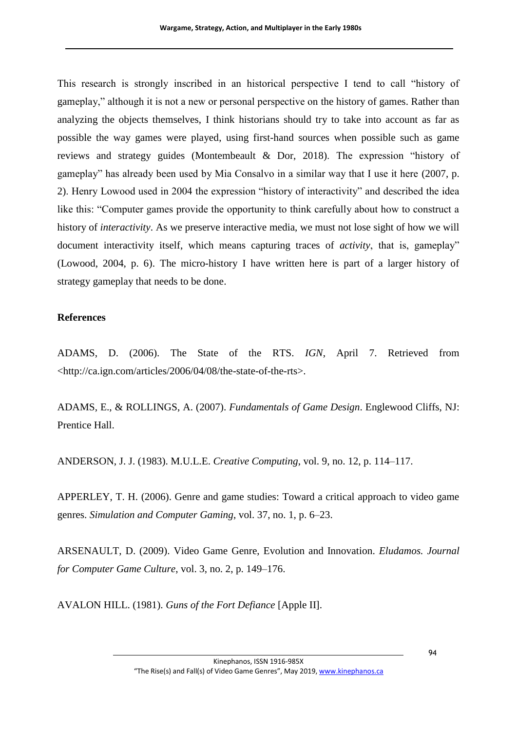This research is strongly inscribed in an historical perspective I tend to call "history of gameplay," although it is not a new or personal perspective on the history of games. Rather than analyzing the objects themselves, I think historians should try to take into account as far as possible the way games were played, using first-hand sources when possible such as game reviews and strategy guides (Montembeault & Dor, 2018). The expression "history of gameplay" has already been used by Mia Consalvo in a similar way that I use it here (2007, p. 2). Henry Lowood used in 2004 the expression "history of interactivity" and described the idea like this: "Computer games provide the opportunity to think carefully about how to construct a history of *interactivity*. As we preserve interactive media, we must not lose sight of how we will document interactivity itself, which means capturing traces of *activity*, that is, gameplay" (Lowood, 2004, p. 6). The micro-history I have written here is part of a larger history of strategy gameplay that needs to be done.

## **References**

ADAMS, D. (2006). The State of the RTS. *IGN*, April 7. Retrieved from <http://ca.ign.com/articles/2006/04/08/the-state-of-the-rts>.

ADAMS, E., & ROLLINGS, A. (2007). *Fundamentals of Game Design*. Englewood Cliffs, NJ: Prentice Hall.

ANDERSON, J. J. (1983). M.U.L.E. *Creative Computing*, vol. 9, no. 12, p. 114–117.

APPERLEY, T. H. (2006). Genre and game studies: Toward a critical approach to video game genres. *Simulation and Computer Gaming*, vol. 37, no. 1, p. 6–23.

ARSENAULT, D. (2009). Video Game Genre, Evolution and Innovation. *Eludamos. Journal for Computer Game Culture*, vol. 3, no. 2, p. 149–176.

AVALON HILL. (1981). *Guns of the Fort Defiance* [Apple II].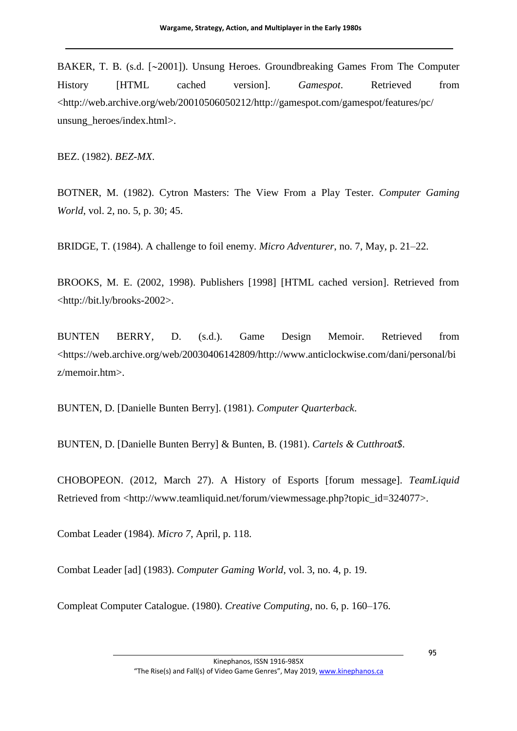BAKER, T. B. (s.d. [~2001]). Unsung Heroes. Groundbreaking Games From The Computer History [HTML cached version]. *Gamespot*. Retrieved from <http://web.archive.org/web/20010506050212/http://gamespot.com/gamespot/features/pc/ unsung\_heroes/index.html>.

BEZ. (1982). *BEZ-MX*.

BOTNER, M. (1982). Cytron Masters: The View From a Play Tester. *Computer Gaming World*, vol. 2, no. 5, p. 30; 45.

BRIDGE, T. (1984). A challenge to foil enemy. *Micro Adventurer*, no. 7, May, p. 21–22.

BROOKS, M. E. (2002, 1998). Publishers [1998] [HTML cached version]. Retrieved from <http://bit.ly/brooks-2002>.

BUNTEN BERRY, D. (s.d.). Game Design Memoir. Retrieved from <https://web.archive.org/web/20030406142809/http://www.anticlockwise.com/dani/personal/bi z/memoir.htm>.

BUNTEN, D. [Danielle Bunten Berry]. (1981). *Computer Quarterback*.

BUNTEN, D. [Danielle Bunten Berry] & Bunten, B. (1981). *Cartels & Cutthroat\$*.

CHOBOPEON. (2012, March 27). A History of Esports [forum message]. *TeamLiquid* Retrieved from <http://www.teamliquid.net/forum/viewmessage.php?topic\_id=324077>.

Combat Leader (1984). *Micro 7*, April, p. 118.

Combat Leader [ad] (1983). *Computer Gaming World*, vol. 3, no. 4, p. 19.

Compleat Computer Catalogue. (1980). *Creative Computing*, no. 6, p. 160–176.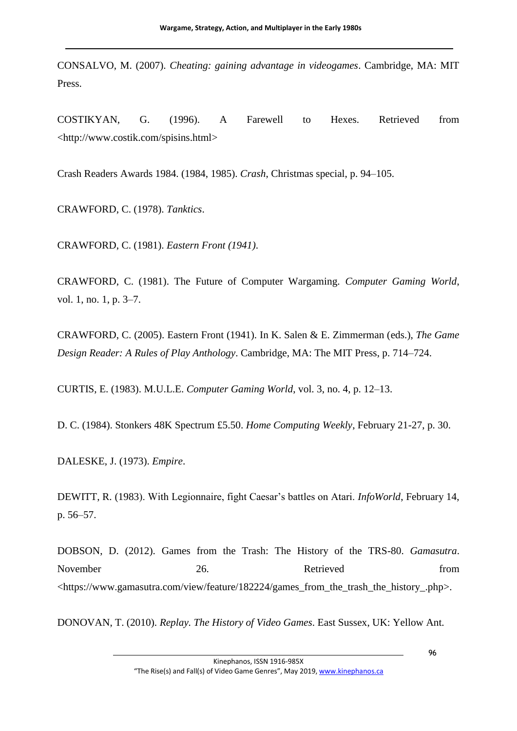CONSALVO, M. (2007). *Cheating: gaining advantage in videogames*. Cambridge, MA: MIT Press.

COSTIKYAN, G. (1996). A Farewell to Hexes. Retrieved from <http://www.costik.com/spisins.html>

Crash Readers Awards 1984. (1984, 1985). *Crash*, Christmas special, p. 94–105.

CRAWFORD, C. (1978). *Tanktics*.

CRAWFORD, C. (1981). *Eastern Front (1941)*.

CRAWFORD, C. (1981). The Future of Computer Wargaming. *Computer Gaming World*, vol. 1, no. 1, p. 3–7.

CRAWFORD, C. (2005). Eastern Front (1941). In K. Salen & E. Zimmerman (eds.), *The Game Design Reader: A Rules of Play Anthology*. Cambridge, MA: The MIT Press, p. 714–724.

CURTIS, E. (1983). M.U.L.E. *Computer Gaming World*, vol. 3, no. 4, p. 12–13.

D. C. (1984). Stonkers 48K Spectrum £5.50. *Home Computing Weekly*, February 21-27, p. 30.

DALESKE, J. (1973). *Empire*.

DEWITT, R. (1983). With Legionnaire, fight Caesar's battles on Atari. *InfoWorld*, February 14, p. 56–57.

DOBSON, D. (2012). Games from the Trash: The History of the TRS-80. *Gamasutra*. November 26. Retrieved from <https://www.gamasutra.com/view/feature/182224/games\_from\_the\_trash\_the\_history\_.php>.

DONOVAN, T. (2010). *Replay. The History of Video Games*. East Sussex, UK: Yellow Ant.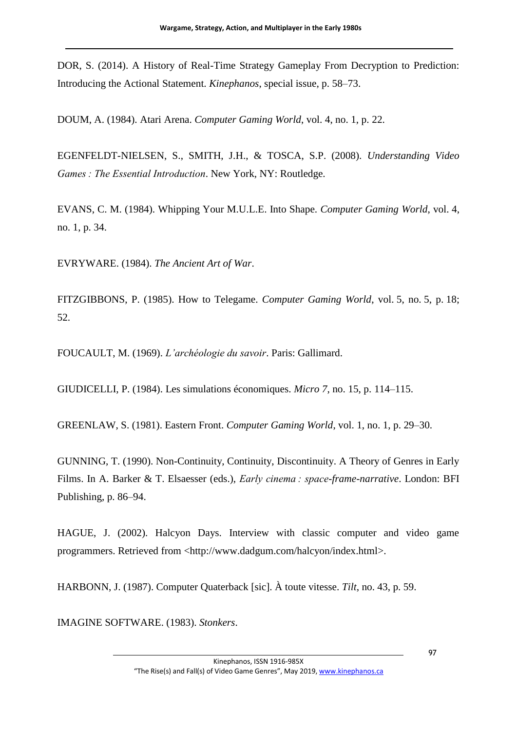DOR, S. (2014). A History of Real-Time Strategy Gameplay From Decryption to Prediction: Introducing the Actional Statement. *Kinephanos*, special issue, p. 58–73.

DOUM, A. (1984). Atari Arena. *Computer Gaming World*, vol. 4, no. 1, p. 22.

EGENFELDT-NIELSEN, S., SMITH, J.H., & TOSCA, S.P. (2008). *Understanding Video Games : The Essential Introduction*. New York, NY: Routledge.

EVANS, C. M. (1984). Whipping Your M.U.L.E. Into Shape. *Computer Gaming World*, vol. 4, no. 1, p. 34.

EVRYWARE. (1984). *The Ancient Art of War*.

FITZGIBBONS, P. (1985). How to Telegame. *Computer Gaming World*, vol. 5, no. 5, p. 18; 52.

FOUCAULT, M. (1969). *L'archéologie du savoir*. Paris: Gallimard.

GIUDICELLI, P. (1984). Les simulations économiques. *Micro 7*, no. 15, p. 114–115.

GREENLAW, S. (1981). Eastern Front. *Computer Gaming World*, vol. 1, no. 1, p. 29–30.

GUNNING, T. (1990). Non-Continuity, Continuity, Discontinuity. A Theory of Genres in Early Films. In A. Barker & T. Elsaesser (eds.), *Early cinema : space-frame-narrative*. London: BFI Publishing, p. 86–94.

HAGUE, J. (2002). Halcyon Days. Interview with classic computer and video game programmers. Retrieved from <http://www.dadgum.com/halcyon/index.html>.

HARBONN, J. (1987). Computer Quaterback [sic]. À toute vitesse. *Tilt*, no. 43, p. 59.

IMAGINE SOFTWARE. (1983). *Stonkers*.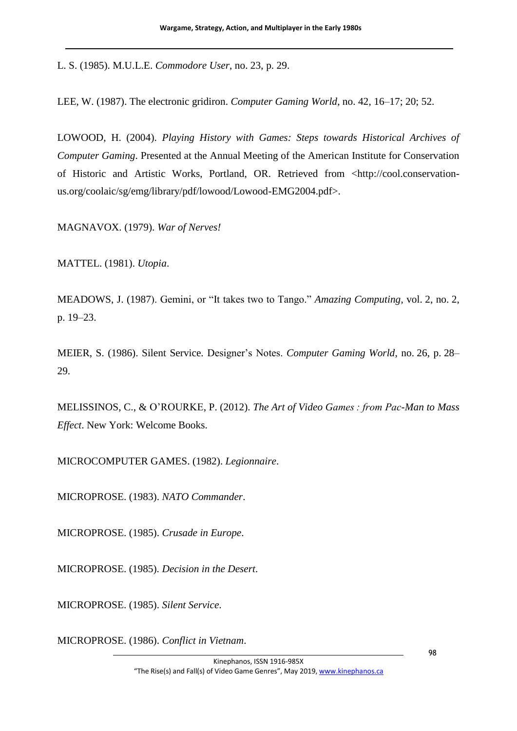L. S. (1985). M.U.L.E. *Commodore User*, no. 23, p. 29.

LEE, W. (1987). The electronic gridiron. *Computer Gaming World*, no. 42, 16–17; 20; 52.

LOWOOD, H. (2004). *Playing History with Games: Steps towards Historical Archives of Computer Gaming*. Presented at the Annual Meeting of the American Institute for Conservation of Historic and Artistic Works, Portland, OR. Retrieved from <http://cool.conservationus.org/coolaic/sg/emg/library/pdf/lowood/Lowood-EMG2004.pdf>.

MAGNAVOX. (1979). *War of Nerves!*

MATTEL. (1981). *Utopia*.

MEADOWS, J. (1987). Gemini, or "It takes two to Tango." *Amazing Computing*, vol. 2, no. 2, p. 19–23.

MEIER, S. (1986). Silent Service. Designer's Notes. *Computer Gaming World*, no. 26, p. 28– 29.

MELISSINOS, C., & O'ROURKE, P. (2012). *The Art of Video Games : from Pac-Man to Mass Effect*. New York: Welcome Books.

MICROCOMPUTER GAMES. (1982). *Legionnaire*.

MICROPROSE. (1983). *NATO Commander*.

MICROPROSE. (1985). *Crusade in Europe*.

MICROPROSE. (1985). *Decision in the Desert*.

MICROPROSE. (1985). *Silent Service*.

MICROPROSE. (1986). *Conflict in Vietnam*.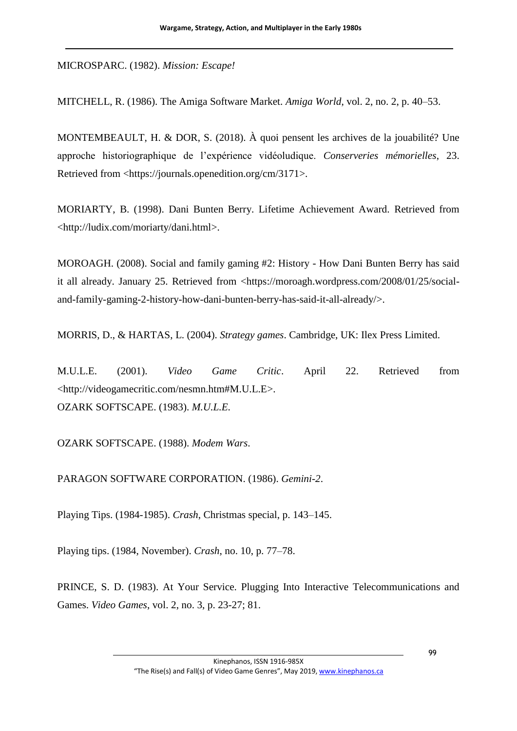MICROSPARC. (1982). *Mission: Escape!*

MITCHELL, R. (1986). The Amiga Software Market. *Amiga World*, vol. 2, no. 2, p. 40–53.

MONTEMBEAULT, H. & DOR, S. (2018). À quoi pensent les archives de la jouabilité? Une approche historiographique de l'expérience vidéoludique. *Conserveries mémorielles*, 23. Retrieved from <https://journals.openedition.org/cm/3171>.

MORIARTY, B. (1998). Dani Bunten Berry. Lifetime Achievement Award. Retrieved from <http://ludix.com/moriarty/dani.html>.

MOROAGH. (2008). Social and family gaming #2: History - How Dani Bunten Berry has said it all already. January 25. Retrieved from <https://moroagh.wordpress.com/2008/01/25/socialand-family-gaming-2-history-how-dani-bunten-berry-has-said-it-all-already/>.

MORRIS, D., & HARTAS, L. (2004). *Strategy games*. Cambridge, UK: Ilex Press Limited.

M.U.L.E. (2001). *Video Game Critic*. April 22. Retrieved from <http://videogamecritic.com/nesmn.htm#M.U.L.E>. OZARK SOFTSCAPE. (1983). *M.U.L.E.*

OZARK SOFTSCAPE. (1988). *Modem Wars*.

PARAGON SOFTWARE CORPORATION. (1986). *Gemini-2*.

Playing Tips. (1984-1985). *Crash*, Christmas special, p. 143–145.

Playing tips. (1984, November). *Crash*, no. 10, p. 77–78.

PRINCE, S. D. (1983). At Your Service. Plugging Into Interactive Telecommunications and Games. *Video Games*, vol. 2, no. 3, p. 23-27; 81.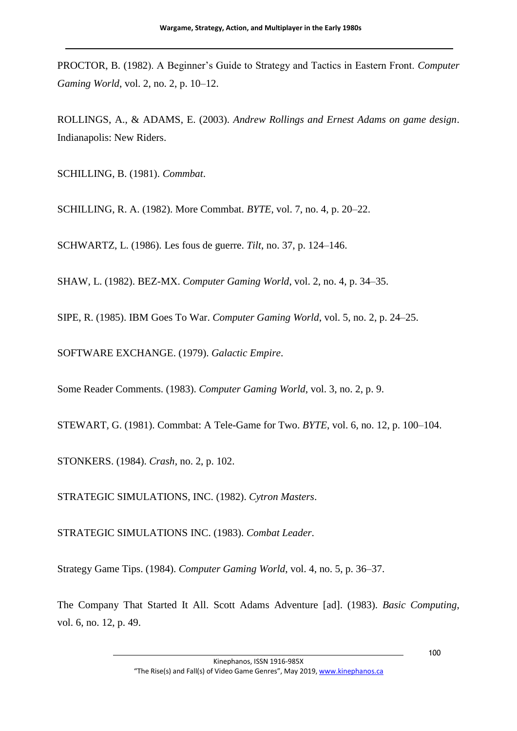PROCTOR, B. (1982). A Beginner's Guide to Strategy and Tactics in Eastern Front. *Computer Gaming World*, vol. 2, no. 2, p. 10–12.

ROLLINGS, A., & ADAMS, E. (2003). *Andrew Rollings and Ernest Adams on game design*. Indianapolis: New Riders.

SCHILLING, B. (1981). *Commbat*.

SCHILLING, R. A. (1982). More Commbat. *BYTE*, vol. 7, no. 4, p. 20–22.

SCHWARTZ, L. (1986). Les fous de guerre. *Tilt*, no. 37, p. 124–146.

SHAW, L. (1982). BEZ-MX. *Computer Gaming World*, vol. 2, no. 4, p. 34–35.

SIPE, R. (1985). IBM Goes To War. *Computer Gaming World*, vol. 5, no. 2, p. 24–25.

SOFTWARE EXCHANGE. (1979). *Galactic Empire*.

Some Reader Comments. (1983). *Computer Gaming World*, vol. 3, no. 2, p. 9.

STEWART, G. (1981). Commbat: A Tele-Game for Two. *BYTE*, vol. 6, no. 12, p. 100–104.

STONKERS. (1984). *Crash*, no. 2, p. 102.

STRATEGIC SIMULATIONS, INC. (1982). *Cytron Masters*.

STRATEGIC SIMULATIONS INC. (1983). *Combat Leader*.

Strategy Game Tips. (1984). *Computer Gaming World*, vol. 4, no. 5, p. 36–37.

The Company That Started It All. Scott Adams Adventure [ad]. (1983). *Basic Computing*, vol. 6, no. 12, p. 49.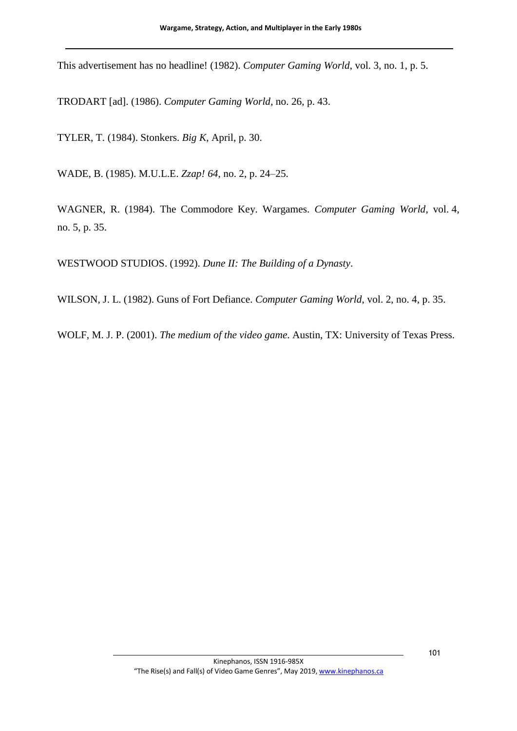This advertisement has no headline! (1982). *Computer Gaming World*, vol. 3, no. 1, p. 5.

TRODART [ad]. (1986). *Computer Gaming World*, no. 26, p. 43.

TYLER, T. (1984). Stonkers. *Big K*, April, p. 30.

WADE, B. (1985). M.U.L.E. *Zzap! 64*, no. 2, p. 24–25.

WAGNER, R. (1984). The Commodore Key. Wargames. *Computer Gaming World*, vol. 4, no. 5, p. 35.

WESTWOOD STUDIOS. (1992). *Dune II: The Building of a Dynasty*.

WILSON, J. L. (1982). Guns of Fort Defiance. *Computer Gaming World*, vol. 2, no. 4, p. 35.

WOLF, M. J. P. (2001). *The medium of the video game*. Austin, TX: University of Texas Press.